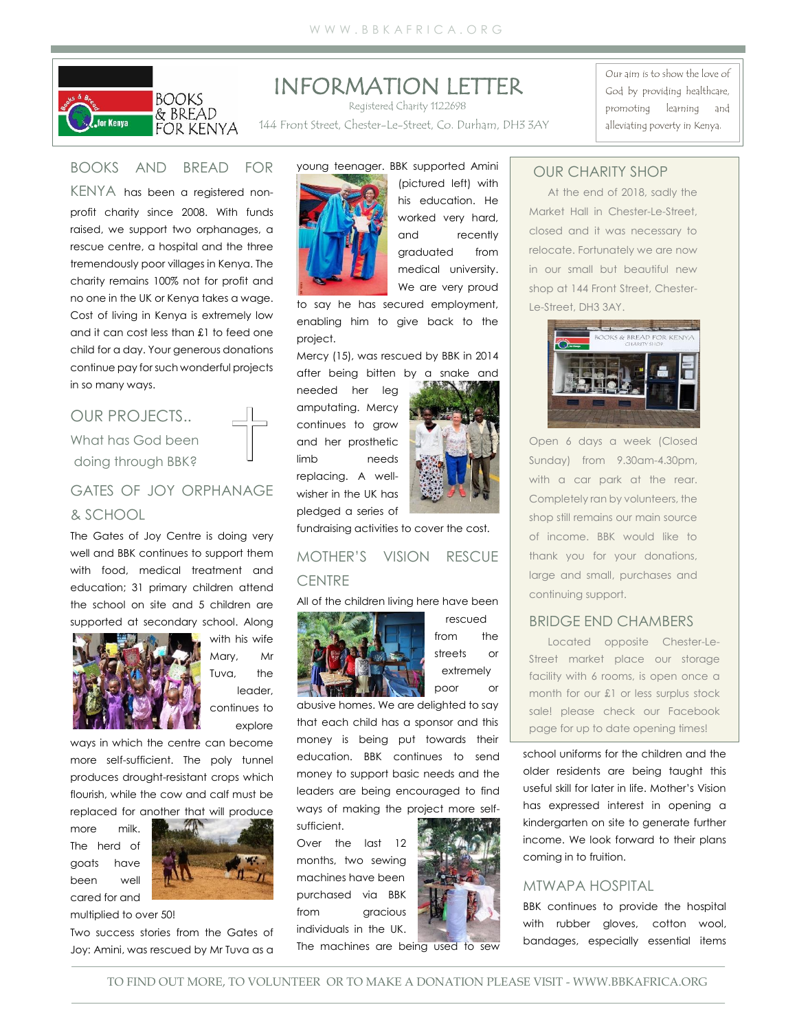

# INFORMATION LETTER

Registered Charity 1122698

144 Front Street, Chester-Le-Street, Co. Durham, DH3 3AY

Our aim is to show the love of God by providing healthcare, promoting learning and alleviating poverty in Kenya.

## BOOKS AND BREAD FOR

KENYA has been a registered nonprofit charity since 2008. With funds raised, we support two orphanages, a rescue centre, a hospital and the three tremendously poor villages in Kenya. The charity remains 100% not for profit and no one in the UK or Kenya takes a wage. Cost of living in Kenya is extremely low and it can cost less than £1 to feed one child for a day. Your generous donations continue pay for such wonderful projects in so many ways.

## OUR PROJECTS.. What has God been doing through BBK?

## GATES OF JOY ORPHANAGE & SCHOOL

The Gates of Joy Centre is doing very well and BBK continues to support them with food, medical treatment and education; 31 primary children attend the school on site and 5 children are supported at secondary school. Along



with his wife Mary, Mr Tuva, the leader, continues to explore

ways in which the centre can become more self-sufficient. The poly tunnel produces drought-resistant crops which flourish, while the cow and calf must be replaced for another that will produce

more milk. The herd of goats have been well cared for and



multiplied to over 50!

Two success stories from the Gates of Joy: Amini, was rescued by Mr Tuva as a



(pictured left) with his education. He worked very hard, and recently graduated from medical university. We are very proud

to say he has secured employment, enabling him to give back to the project.

Mercy (15), was rescued by BBK in 2014 after being bitten by a snake and

needed her leg amputating. Mercy continues to grow and her prosthetic limb needs replacing. A wellwisher in the UK has pledged a series of



fundraising activities to cover the cost.

### MOTHER'S VISION RESCUE **CENTRE**

#### All of the children living here have been



rescued from the streets or extremely poor or

abusive homes. We are delighted to say that each child has a sponsor and this money is being put towards their education. BBK continues to send money to support basic needs and the leaders are being encouraged to find ways of making the project more self-

sufficient.

Over the last 12 months, two sewing machines have been purchased via BBK from *gracious* individuals in the UK.



### OUR CHARITY SHOP

At the end of 2018, sadly the Market Hall in Chester-Le-Street, closed and it was necessary to relocate. Fortunately we are now in our small but beautiful new shop at 144 Front Street, Chester-Le-Street, DH3 3AY.



Open 6 days a week (Closed Sunday) from 9.30am-4.30pm, with a car park at the rear. Completely ran by volunteers, the shop still remains our main source of income. BBK would like to thank you for your donations, large and small, purchases and continuing support.

### BRIDGE END CHAMBERS

Located opposite Chester-Le-Street market place our storage facility with 6 rooms, is open once a month for our £1 or less surplus stock sale! please check our Facebook page for up to date opening times!

school uniforms for the children and the older residents are being taught this useful skill for later in life. Mother's Vision has expressed interest in opening a kindergarten on site to generate further income. We look forward to their plans coming in to fruition.

#### MTWAPA HOSPITAL

BBK continues to provide the hospital with rubber gloves, cotton wool, bandages, especially essential items